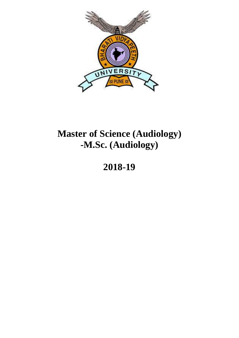

# **Master of Science (Audiology) -M.Sc. (Audiology)**

# **2018-19**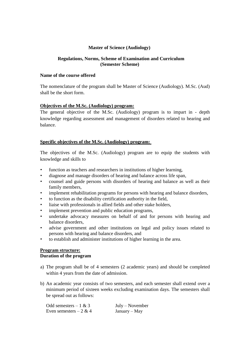#### **Master of Science (Audiology)**

#### **Regulations, Norms, Scheme of Examination and Curriculum (Semester Scheme)**

## **Name of the course offered**

The nomenclature of the program shall be Master of Science (Audiology). M.Sc. (Aud) shall be the short form.

#### **Objectives of the M.Sc. (Audiology) program:**

The general objective of the M.Sc. (Audiology) program is to impart in - depth knowledge regarding assessment and management of disorders related to hearing and balance.

## **Specific objectives of the M.Sc. (Audiology) program:**

The objectives of the M.Sc. (Audiology) program are to equip the students with knowledge and skills to

- function as teachers and researchers in institutions of higher learning,
- diagnose and manage disorders of hearing and balance across life span,
- counsel and guide persons with disorders of hearing and balance as well as their family members,
- implement rehabilitation programs for persons with hearing and balance disorders,
- to function as the disability certification authority in the field,
- liaise with professionals in allied fields and other stake holders,
- implement prevention and public education programs,
- undertake advocacy measures on behalf of and for persons with hearing and balance disorders,
- advise government and other institutions on legal and policy issues related to persons with hearing and balance disorders, and
- to establish and administer institutions of higher learning in the area.

#### **Program structure: Duration of the program**

- a) The program shall be of 4 semesters (2 academic years) and should be completed within 4 years from the date of admission.
- b) An academic year consists of two semesters, and each semester shall extend over a minimum period of sixteen weeks excluding examination days. The semesters shall be spread out as follows:

| Odd semesters $-1 & 3$  | $July - November$ |
|-------------------------|-------------------|
| Even semesters $-2 & 4$ | $January - May$   |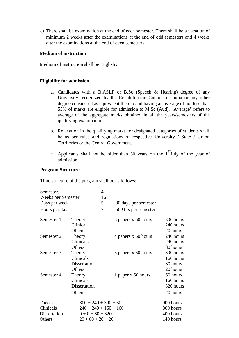c) There shall be examination at the end of each semester. There shall be a vacation of minimum 2 weeks after the examinations at the end of odd semesters and 4 weeks after the examinations at the end of even semesters.

#### **Medium of instruction**

Medium of instruction shall be English **.**

#### **Eligibility for admission**

- a. Candidates with a B.ASLP or B.Sc (Speech & Hearing) degree of any University recognized by the Rehabilitation Council of India or any other degree considered as equivalent thereto and having an average of not less than 55% of marks are eligible for admission to M.Sc (Aud). "Average" refers to average of the aggregate marks obtained in all the years/semesters of the qualifying examination.
- b. Relaxation in the qualifying marks for designated categories of students shall be as per rules and regulations of respective University / State / Union Territories or the Central Government.
- c. Applicants shall not be older than 30 years on the  $1<sup>st</sup>$  July of the year of admission.

#### **Program Structure**

Time structure of the program shall be as follows:

| Semesters                                     |                                                                                                | 4  |                      |                                                  |
|-----------------------------------------------|------------------------------------------------------------------------------------------------|----|----------------------|--------------------------------------------------|
| Weeks per Semester                            |                                                                                                | 16 |                      |                                                  |
| Days per week                                 |                                                                                                | 5  | 80 days per semester |                                                  |
| Hours per day                                 |                                                                                                | 7  | 560 hrs per semester |                                                  |
| Semester 1                                    | Theory<br>Clinical<br>Others                                                                   |    | 5 papers x 60 hours  | 300 hours<br>240 hours<br>20 hours               |
| Semester 2                                    | Theory<br>Clinicals<br>Others                                                                  |    | 4 papers x 60 hours  | 240 hours<br>240 hours<br>80 hours               |
| Semester 3                                    | Theory<br>Clinicals<br>Dissertation<br>Others                                                  |    | 5 papers x 60 hours  | 300 hours<br>160 hours<br>80 hours<br>20 hours   |
| Semester 4                                    | Theory<br>Clinicals<br>Dissertation<br>Others                                                  |    | 1 paper x 60 hours   | 60 hours<br>160 hours<br>320 hours<br>20 hours   |
| Theory<br>Clinicals<br>Dissertation<br>Others | $300 + 240 + 300 + 60$<br>$240 + 240 + 160 + 160$<br>$0 + 0 + 80 + 320$<br>$20 + 80 + 20 + 20$ |    |                      | 900 hours<br>800 hours<br>400 hours<br>140 hours |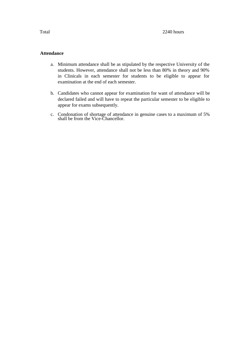#### **Attendance**

- a. Minimum attendance shall be as stipulated by the respective University of the students. However, attendance shall not be less than 80% in theory and 90% in Clinicals in each semester for students to be eligible to appear for examination at the end of each semester.
- b. Candidates who cannot appear for examination for want of attendance will be declared failed and will have to repeat the particular semester to be eligible to appear for exams subsequently.
- c. Condonation of shortage of attendance in genuine cases to a maximum of 5% shall be from the Vice-Chancellor.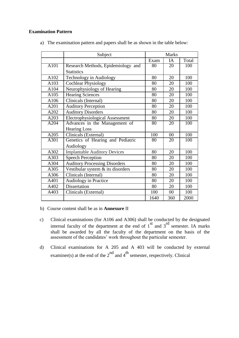## **Examination Pattern**

|      | Subject                                                    |      | <b>Marks</b> |       |
|------|------------------------------------------------------------|------|--------------|-------|
|      |                                                            | Exam | IA           | Total |
| A101 | Research Methods, Epidemiology and                         | 80   | 20           | 100   |
|      | <b>Statistics</b>                                          |      |              |       |
| A102 | Technology in Audiology                                    | 80   | 20           | 100   |
| A103 | <b>Cochlear Physiology</b>                                 | 80   | 20           | 100   |
| A104 | Neurophysiology of Hearing                                 | 80   | 20           | 100   |
| A105 | <b>Hearing Sciences</b>                                    | 80   | 20           | 100   |
| A106 | Clinicals (Internal)                                       | 80   | 20           | 100   |
| A201 | <b>Auditory Perception</b>                                 | 80   | 20           | 100   |
| A202 | <b>Auditory Disorders</b>                                  | 80   | 20           | 100   |
| A203 | <b>Electrophysiological Assessment</b>                     | 80   | 20           | 100   |
| A204 | Advances in the Management of<br>80<br>20                  |      | 100          |       |
|      | <b>Hearing Loss</b>                                        |      |              |       |
| A205 | Clinicals (External)                                       | 100  | 00           | 100   |
| A301 | Genetics of Hearing and Pediatric<br>$\overline{20}$<br>80 |      | 100          |       |
|      | Audiology                                                  |      |              |       |
| A302 | <b>Implantable Auditory Devices</b>                        | 80   | 20           | 100   |
| A303 | <b>Speech Perception</b>                                   | 80   | 20           | 100   |
| A304 | <b>Auditory Processing Disorders</b>                       | 80   | 20           | 100   |
| A305 | Vestibular system & its disorders                          | 80   | 20           | 100   |
| A306 | Clinicals (Internal)                                       | 80   | 20           | 100   |
| A401 | Audiology in Practice                                      | 80   | 20           | 100   |
| A402 | Dissertation                                               | 80   | 20           | 100   |
| A403 | Clinicals (External)                                       | 100  | 00           | 100   |
|      |                                                            | 1640 | 360          | 2000  |

a) The examination pattern and papers shall be as shown in the table below:

b) Course content shall be as in **Annexure** II

- c) Clinical examinations (for A106 and A306) shall be conducted by the designated internal faculty of the department at the end of  $1<sup>st</sup>$  and  $3<sup>rd</sup>$  semester. IA marks shall be awarded by all the faculty of the department on the basis of the assessment of the candidates' work throughout the particular semester.
- d) Clinical examinations for A 205 and A 403 will be conducted by external examiner(s) at the end of the  $2<sup>nd</sup>$  and  $4<sup>th</sup>$  semester, respectively. Clinical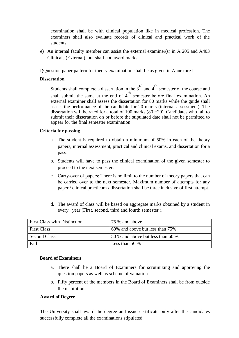examination shall be with clinical population like in medical profession. The examiners shall also evaluate records of clinical and practical work of the students.

e) An internal faculty member can assist the external examiner(s) in A 205 and A403 Clinicals (External), but shall not award marks.

f)Question paper pattern for theory examination shall be as given in Annexure I

#### **Dissertation**

Students shall complete a dissertation in the  $3^{rd}$  and  $4^{th}$  semester of the course and shall submit the same at the end of  $4<sup>th</sup>$  semester before final examination. An external examiner shall assess the dissertation for 80 marks while the guide shall assess the performance of the candidate for 20 marks (internal assessment). The dissertation will be rated for a total of 100 marks  $(80 + 20)$ . Candidates who fail to submit their dissertation on or before the stipulated date shall not be permitted to appear for the final semester examination.

#### **Criteria for passing**

- a. The student is required to obtain a minimum of 50% in each of the theory papers, internal assessment, practical and clinical exams, and dissertation for a pass.
- b. Students will have to pass the clinical examination of the given semester to proceed to the next semester.
- c. Carry-over of papers: There is no limit to the number of theory papers that can be carried over to the next semester. Maximum number of attempts for any paper / clinical practicum / dissertation shall be three inclusive of first attempt.
- d. The award of class will be based on aggregate marks obtained by a student in every year (First, second, third and fourth semester ).

| <b>First Class with Distinction</b> | 75 % and above                    |
|-------------------------------------|-----------------------------------|
| <b>First Class</b>                  | 60% and above but less than 75%   |
| Second Class                        | 50 % and above but less than 60 % |
| Fail                                | Less than 50 $\%$                 |

#### **Board of Examiners**

- a. There shall be a Board of Examiners for scrutinizing and approving the question papers as well as scheme of valuation
- b. Fifty percent of the members in the Board of Examiners shall be from outside the institution.

#### **Award of Degree**

The University shall award the degree and issue certificate only after the candidates successfully complete all the examinations stipulated.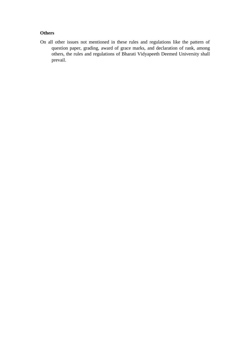# **Others**

 On all other issues not mentioned in these rules and regulations like the pattern of question paper, grading, award of grace marks, and declaration of rank, among others, the rules and regulations of Bharati Vidyapeeth Deemed University shall prevail.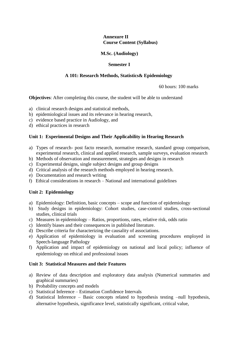#### **Annexure II Course Content (Syllabus)**

#### **M.Sc. (Audiology)**

#### **Semester I**

#### **A 101: Research Methods, Statistics& Epidemiology**

60 hours: 100 marks

**Objectives**: After completing this course, the student will be able to understand

- a) clinical research designs and statistical methods,
- b) epidemiological issues and its relevance in hearing research,
- c) evidence based practice in Audiology, and
- d) ethical practices in research

#### **Unit 1: Experimental Designs and Their Applicability in Hearing Research**

- a) Types of research- post facto research, normative research, standard group comparison, experimental research, clinical and applied research, sample surveys, evaluation research
- b) Methods of observation and measurement, strategies and designs in research
- c) Experimental designs, single subject designs and group designs
- d) Critical analysis of the research methods employed in hearing research.
- e) Documentation and research writing
- f) Ethical considerations in research National and international guidelines

#### **Unit 2: Epidemiology**

- a) Epidemiology: Definition, basic concepts scope and function of epidemiology
- b) Study designs in epidemiology: Cohort studies, case-control studies, cross-sectional studies, clinical trials
- c) Measures in epidemiology Ratios, proportions, rates, relative risk, odds ratio
- c) Identify biases and their consequences in published literature.
- d) Describe criteria for characterizing the causality of associations.
- e) Application of epidemiology in evaluation and screening procedures employed in Speech-language Pathology
- f) Application and impact of epidemiology on national and local policy; influence of epidemiology on ethical and professional issues

#### **Unit 3: Statistical Measures and their Features**

- a) Review of data description and exploratory data analysis (Numerical summaries and graphical summaries)
- b) Probability concepts and models
- c) Statistical Inference Estimation Confidence Intervals
- d) Statistical Inference Basic concepts related to hypothesis testing –null hypothesis, alternative hypothesis, significance level, statistically significant, critical value,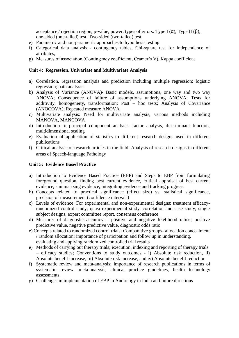acceptance / rejection region, p-value, power, types of errors: Type I  $(\alpha)$ , Type II  $(\beta)$ , one-sided (one-tailed) test, Two-sided (two-tailed) test

- e) Parametric and non-parametric approaches to hypothesis testing
- f) Categorical data analysis contingency tables, Chi-square test for independence of attributes,
- g) Measures of association (Contingency coefficient, Cramer's V), Kappa coefficient

#### **Unit 4: Regression, Univariate and Multivariate Analysis**

- a) Correlation, regression analysis and prediction including multiple regression; logistic regression; path analysis
- b) Analysis of Variance (ANOVA)- Basic models, assumptions, one way and two way ANOVA; Consequence of failure of assumptions underlying ANOVA; Tests for additivity, homogeneity, transformation; Post – hoc tests; Analysis of Covariance (ANOCOVA); Repeated measure ANOVA
- c) Multivariate analysis: Need for multivariate analysis, various methods including MANOVA, MANCOVA
- d) Introduction to principal component analysis, factor analysis, discriminant function, multidimensional scaling
- e) Evaluation of application of statistics to different research designs used in different publications
- f) Critical analysis of research articles in the field: Analysis of research designs in different areas of Speech-language Pathology

#### **Unit 5: Evidence Based Practice**

- a) Introduction to Evidence Based Practice (EBP) and Steps to EBP from formulating foreground question, finding best current evidence, critical appraisal of best current evidence, summarizing evidence, integrating evidence and tracking progress.
- b) Concepts related to practical significance (effect size) vs. statistical significance, precision of measurement (confidence intervals)
- c) Levels of evidence: For experimental and non-experimental designs; treatment efficacyrandomized control study, quasi experimental study, correlation and case study, single subject designs, expert committee report, consensus conference
- d) Measures of diagnostic accuracy positive and negative likelihood ratios; positive predictive value, negative predictive value, diagnostic odds ratio
- e) Concepts related to randomized control trials: Comparative groups- allocation concealment / random allocation; importance of participation and follow up in understanding, evaluating and applying randomized controlled trial results
- e) Methods of carrying out therapy trials; execution, indexing and reporting of therapy trials – efficacy studies; Conventions to study outcomes - i) Absolute risk reduction, ii) Absolute benefit increase, iii) Absolute risk increase, and iv) Absolute benefit reduction
- f) Systematic review and meta-analysis; importance of research publications in terms of systematic review, meta-analysis, clinical practice guidelines, health technology assessments.
- g) Challenges in implementation of EBP in Audiology in India and future directions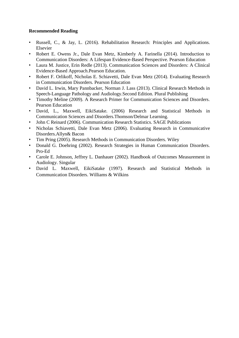- Russell, C., & Jay, L. (2016). Rehabilitation Research: Principles and Applications. Elsevier
- Robert E. Owens Jr., Dale Evan Metz, Kimberly A. Farinella (2014). Introduction to Communication Disorders: A Lifespan Evidence-Based Perspective. Pearson Education
- Laura M. Justice, Erin Redle (2013). Communication Sciences and Disorders: A Clinical Evidence-Based Approach.Pearson Education.
- Robert F. Orlikoff, Nicholas E. Schiavetti, Dale Evan Metz (2014). Evaluating Research in Communication Disorders. Pearson Education
- David L. Irwin, Mary Pannbacker, Norman J. Lass (2013). Clinical Research Methods in Speech-Language Pathology and Audiology.Second Edition. Plural Publishing
- Timothy Meline (2009). A Research Primer for Communication Sciences and Disorders. Pearson Education
- David, L., Maxwell, EikiSatake. (2006) Research and Statistical Methods in Communication Sciences and Disorders.Thomson/Delmar Learning.
- John C Reinard (2006). Communication Research Statistics. SAGE Publications
- Nicholas Schiavetti, Dale Evan Metz (2006). Evaluating Research in Communicative Disorders.Allyn& Bacon
- Tim Pring (2005). Research Methods in Communication Disorders. Wiley
- Donald G. Doehring (2002). Research Strategies in Human Communication Disorders. Pro-Ed
- Carole E. Johnson, Jeffrey L. Danhauer (2002). Handbook of Outcomes Measurement in Audiology. Singular
- David L. Maxwell, EikiSatake (1997). Research and Statistical Methods in Communication Disorders. Williams & Wilkins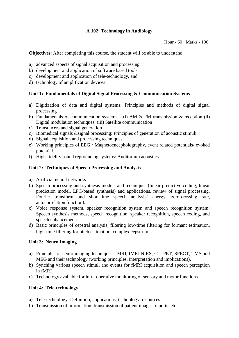# **A 102: Technology in Audiology**

Hour - 60 : Marks - 100

**Objectives**: After completing this course, the student will be able to understand

- a) advanced aspects of signal acquisition and processing,
- b) development and application of software based tools,
- c) development and application of tele-technology, and
- d) technology of amplification devices

#### **Unit 1: Fundamentals of Digital Signal Processing & Communication Systems**

- a) Digitization of data and digital systems; Principles and methods of digital signal processing
- b) Fundamentals of communication systems (i) AM & FM transmission & reception (ii) Digital modulation techniques, (iii) Satellite communication
- c) Transducers and signal generation
- c) Biomedical signals &signal processing: Principles of generation of acoustic stimuli
- d) Signal acquisition and processing techniques
- e) Working principles of EEG / Magnetoencepholography, event related potentials/ evoked potential.
- f) High-fidelity sound reproducing systems: Auditorium acoustics

#### **Unit 2: Techniques of Speech Processing and Analysis**

- a) Artificial neural networks
- b) Speech processing and synthesis models and techniques (linear predictive coding, linear prediction model, LPC-based synthesis) and applications, review of signal processing, Fourier transform and short-time speech analysis( energy, zero-crossing rate, autocorrelation function).
- c) Voice response system, speaker recognition system and speech recognition system: Speech synthesis methods, speech recognition, speaker recognition, speech coding, and speech enhancement.
- d) Basic principles of cepstral analysis, filtering low-time filtering for formant estimation, high-time filtering for pitch estimation, complex cepstrum

#### **Unit 3: Neuro Imaging**

- a) Principles of neuro imaging techniques MRI, fMRI,NIRS, CT, PET, SPECT, TMS and MEG and their technology (working principles, interpretation and implications).
- b) Synching various speech stimuli and events for fMRI acquisition and speech perception in fMRI
- c) Technology available for intra-operative monitoring of sensory and motor functions

## **Unit 4: Tele-technology**

- a) Tele-technology: Definition, applications, technology, resources
- b) Transmission of information: transmission of patient images, reports, etc.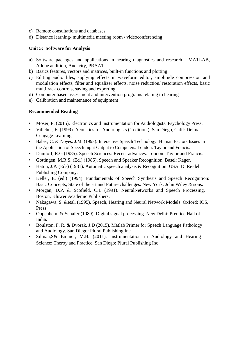- c) Remote consultations and databases
- d) Distance learning- multimedia meeting room / videoconferencing

## **Unit 5: Software for Analysis**

- a) Software packages and applications in hearing diagnostics and research MATLAB, Adobe audition, Audacity, PRAAT
- b) Basics features, vectors and matrices, built-in functions and plotting
- c) Editing audio files, applying effects in waveform editor, amplitude compression and modulation effects, filter and equalizer effects, noise reduction/ restoration effects, basic multitrack controls, saving and exporting
- d) Computer based assessment and intervention programs relating to hearing
- e) Calibration and maintenance of equipment

- Moser, P. (2015). Electronics and Instrumentation for Audiologists. Psychology Press.
- Villchur, E. (1999). Acoustics for Audiologists (1 edition.). San Diego, Calif: Delmar Cengage Learning.
- Baber, C. & Noyes, J.M. (1993). Interactive Speech Technology: Human Factors Issues in the Application of Speech Input Output to Computers. London: Taylor and Francis.
- Daniloff, R.G (1985). Speech Sciences: Recent advances. London: Taylor and Francis.
- Gottingen, M.R.S. (Ed.) (1985). Speech and Speaker Recognition. Basel: Kager.
- Haton, J.P. (Eds) (1981). Automatic speech analysis & Recognition. USA, D. Reidel Publishing Company.
- Keller, E. (ed.) (1994). Fundamentals of Speech Synthesis and Speech Recognition: Basic Concepts, State of the art and Future challenges. New York: John Wiley & sons.
- Morgan, D.P. & Scofield, C.L (1991). NeuralNetworks and Speech Processing. Boston, Kluwer Academic Publishers.
- Nakagawa, S. &etal. (1995). Speech, Hearing and Neural Network Models. Oxford: IOS, Press
- Oppenheim & Schafer (1989). Digital signal processing. New Delhi: Prentice Hall of India.
- Boulston, F. R. & Dvorak, J.D (2015). Matlab Primer for Speech Language Pathology and Audiology. San Diego: Plural Publishing Inc
- Silman,S& Emmer, M.B. (2011). Instrumentation in Audiology and Hearing Science: Theroy and Practice. San Diego: Plural Publishing Inc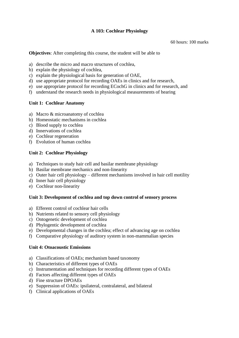# **A 103: Cochlear Physiology**

60 hours: 100 marks

**Objectives**: After completing this course, the student will be able to

- a) describe the micro and macro structures of cochlea,
- b) explain the physiology of cochlea,
- c) explain the physiological basis for generation of OAE,
- d) use appropriate protocol for recording OAEs in clinics and for research,
- e) use appropriate protocol for recording ECochG in clinics and for research, and
- f) understand the research needs in physiological measurements of hearing

# **Unit 1: Cochlear Anatomy**

- a) Macro & microanatomy of cochlea
- b) Homeostatic mechanisms in cochlea
- c) Blood supply to cochlea
- d) Innervations of cochlea
- e) Cochlear regeneration
- f) Evolution of human cochlea

# **Unit 2: Cochlear Physiology**

- a) Techniques to study hair cell and basilar membrane physiology
- b) Basilar membrane mechanics and non-linearity
- c) Outer hair cell physiology different mechanisms involved in hair cell motility
- d) Inner hair cell physiology
- e) Cochlear non-linearity

## **Unit 3: Development of cochlea and top down control of sensory process**

- a) Efferent control of cochlear hair cells
- b) Nutrients related to sensory cell physiology
- c) Ontogenetic development of cochlea
- d) Phylogentic development of cochlea
- e) Developmental changes in the cochlea; effect of advancing age on cochlea
- f) Comparative physiology of auditory system in non-mammalian species

## **Unit 4: Otoacoustic Emissions**

- a) Classifications of OAEs; mechanism based taxonomy
- b) Characteristics of different types of OAEs
- c) Instrumentation and techniques for recording different types of OAEs
- d) Factors affecting different types of OAEs
- d) Fine structure DPOAEs
- e) Suppression of OAEs: ipsilateral, contralateral, and bilateral
- f) Clinical applications of OAEs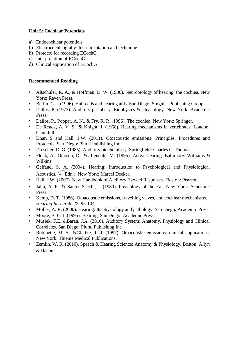# **Unit 5: Cochlear Potentials**

- a) Endocochlear potentials.
- b) Electrocochleograhy: Instrumentation and technique
- b) Protocol for recording ECochG
- c) Interpretation of ECochG
- d) Clinical application of ECochG

- Altschuler, R. A., & Hoffman, D. W. (1986). Neurobiology of hearing: the cochlea. New York: Raven Press.
- Berlin, C. I. (1996). Hair cells and hearing aids. San Diego: Singular Publishing Group.
- Dallos, P. (1973). Auditory periphery: Biophysics & physiology. New York: Academic Press.
- Dallos, P., Popper, A. N., & Fry, R. R. (1996). The cochlea. New York: Springer.
- De Reuck, A. V. S., & Knight, J. (1968). Hearing mechanisms in vertebrates. London: Churchill.
- Dhar, S and Hall, J.W. (2011). Otoacoustic emissions: Principles, Procedures and Protocols. San Diego: Plural Publishing Inc
- Drescher, D. G. (1985). Auditory biochemistry. Springfield: Charles C. Thomas.
- Flock, A., Ottoson, D., &Ulfendahi, M. (1995). Active hearing. Baltimore: Williams & Wilkins.
- Gelfand, S. A. (2004). Hearing: Introduction to Psychological and Physiological Acoustics. (4<sup>th</sup>Edn.). New York: Marcel Decker.
- Hall, J.W. (2007). New Handbook of Auditory Evoked Responses. Boston: Pearson.
- Jahn, A. F., & Santos-Sacchi, J. (1989). Physiology of the Ear. New York: Academic Press.
- Kemp, D. T. (1986). Otoacoustic emissions, travelling waves, and cochlear mechanisms. *Hearing Research*. 22, 95-104.
- Moller, A. R. (2000). Hearing: Its physiology and pathology. San Diego: Academic Press.
- Moore, B. C. J. (1995). Hearing. San Diego: Academic Press.
- Musiek, F.E. &Baran, J.A. (2016). Auditory System: Anatomy, Physiology and Clinical Correlates. San Diego: Plural Publishing Inc
- Robinette, M. S., &Glattke, T. J. (1997). Otoacoustic emissions: clinical applications. New York: Thieme Medical Publications.
- Zemlin, W. R. (2010). Speech & Hearing Science: Anatomy & Physiology. Boston: Allyn & Bacon.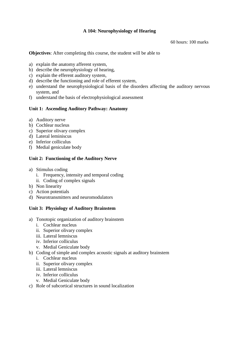# **A 104: Neurophysiology of Hearing**

60 hours: 100 marks

**Objectives**: After completing this course, the student will be able to

- a) explain the anatomy afferent system,
- b) describe the neurophysiology of hearing,
- c) explain the efferent auditory system,
- d) describe the functioning and role of efferent system,
- e) understand the neurophysiological basis of the disorders affecting the auditory nervous system, and
- f) understand the basis of electrophysiological assessment

#### **Unit 1: Ascending Auditory Pathway: Anatomy**

- a) Auditory nerve
- b) Cochlear nucleus
- c) Superior olivary complex
- d) Lateral leminiscus
- e) Inferior colliculus
- f) Medial geniculate body

## **Unit 2: Functioning of the Auditory Nerve**

- a) Stimulus coding
	- i. Frequency, intensity and temporal coding
	- ii. Coding of complex signals
- b) Non linearity
- c) Action potentials
- d) Neurotransmitters and neuromodulators

#### **Unit 3: Physiology of Auditory Brainstem**

- a) Tonotopic organization of auditory brainstem
	- i. Cochlear nucleus
	- ii. Superior olivary complex
	- iii. Lateral lemniscus
	- iv. Inferior colliculus
	- v. Medial Geniculate body
- b) Coding of simple and complex acoustic signals at auditory brainstem
	- i. Cochlear nucleus
	- ii. Superior olivary complex
	- iii. Lateral lemniscus
	- iv. Inferior colliculus
	- v. Medial Geniculate body
- c) Role of subcortical structures in sound localization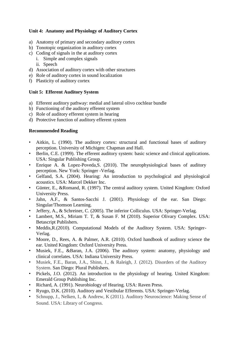# **Unit 4: Anatomy and Physiology of Auditory Cortex**

- a) Anatomy of primary and secondary auditory cortex
- b) Tonotopic organization in auditory cortex
- c) Coding of signals in the at auditory cortex
	- i. Simple and complex signals
	- ii. Speech
- d) Association of auditory cortex with other structures
- e) Role of auditory cortex in sound localization
- f) Plasticity of auditory cortex

#### **Unit 5: Efferent Auditory System**

- a) Efferent auditory pathway: medial and lateral olivo cochlear bundle
- b) Functioning of the auditory efferent system
- c) Role of auditory efferent system in hearing
- d) Protective function of auditory efferent system

- Aitkin, L. (1990). The auditory cortex: structural and functional bases of auditory perception. University of Michigen: Chapman and Hall.
- Berlin, C.E. (1999). The efferent auditory system: basic science and clinical applications. USA: Singular Publishing Group.
- Enrique A. & Lopez-Poveda,S. (2010). The neurophysiological bases of auditory perception. New York: Springer -Verlag.
- Gelfand, S.A. (2004). Hearing: An introduction to psychological and physiological acoustics. USA: Marcel Dekker Inc.
- Günter, E., &Romand, R. (1997). The central auditory system. United Kingdom: Oxford University Press.
- Jahn, A.F., & Santos-Sacchi J. (2001). Physiology of the ear. San Diego: Singular/Thomson Learning.
- Jeffery, A., & Schreiner, C. (2005). The inferior Colliculus. USA: Springer-Verlag.
- Lambert, M.S., Miriam T. T, & Susan F. M (2010). Superior Olivary Complex. USA: Betascript Publishers.
- Meddis,R.(2010). Computational Models of the Auditory System. USA: Springer-Verlag.
- Moore, D., Rees, A. & Palmer, A.R. (2010). Oxford handbook of auditory science the ear. United Kingdom: Oxford University Press.
- Musiek, F.E., &Baran, J.A. (2006). The auditory system: anatomy, physiology and clinical correlates. USA: Indiana University Press.
- Musiek, F.E., Baran, J.A., Shinn, J., & Raleigh, J. (2012). Disorders of the Auditory System. San Diego: Plural Publishers.
- Pickels, J.O. (2012). An introduction to the physiology of hearing. United Kingdom: Emerald Group Publishing Inc.
- Richard, A. (1991). Neurobiology of Hearing. USA: Raven Press.
- Ryugo, D.K. (2010). Auditory and Vestibular Efferents. USA: Springer-Verlag.
- Schnupp, J., Nelken, I., & Andrew, K (2011). Auditory Neuroscience: Making Sense of Sound. USA: Library of Congress.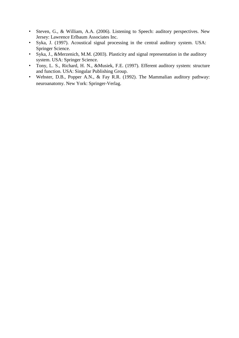- Steven, G., & William, A.A. (2006). Listening to Speech: auditory perspectives. New Jersey: Lawrence Erlbaum Associates Inc.
- Syka, J. (1997). Acoustical signal processing in the central auditory system. USA: Springer Science.
- Syka, J., &Merzenich, M.M. (2003). Plasticity and signal representation in the auditory system. USA: Springer Science.
- Tony, L. S., Richard, H. N., &Musiek, F.E. (1997). Efferent auditory system: structure and function. USA: Singular Publishing Group.
- Webster, D.B., Popper A.N., & Fay R.R. (1992). The Mammalian auditory pathway: neuroanatomy. New York: Springer-Verlag.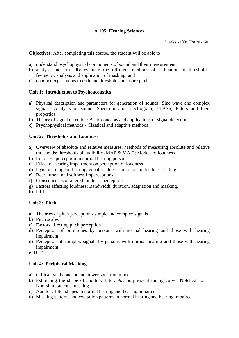# **A 105: Hearing Sciences**

Marks -100: Hours - 60

**Objectives**: After completing this course, the student will be able to

- a) understand psychophysical components of sound and their measurement,
- b) analyse and critically evaluate the different methods of estimation of thresholds, frequency analysis and application of masking, and
- c) conduct experiments to estimate thresholds, measure pitch.

# **Unit 1: Introduction to Psychoacoustics**

- a) Physical description and parameters for generation of sounds: Sine wave and complex signals; Analysis of sound: Spectrum and spectrogram, LTASS; Filters and their properties
- b) Theory of signal detection: Basic concepts and applications of signal detection
- c) Psychophysical methods Classical and adaptive methods

# **Unit 2: Thresholds and Loudness**

- a) Overview of absolute and relative measures: Methods of measuring absolute and relative thresholds; thresholds of audibility (MAP & MAF); Models of loudness.
- b) Loudness perception in normal hearing persons
- c) Effect of hearing impairment on perception of loudness
- d) Dynamic range of hearing, equal loudness contours and loudness scaling.
- e) Recruitment and softness imperceptions
- f) Consequences of altered loudness perception
- g) Factors affecting loudness: Bandwidth, duration, adaptation and masking.
- h) DLI

# **Unit 3: Pitch**

- a) Theories of pitch perception simple and complex signals
- b) Pitch scales
- c) Factors affecting pitch perception
- d) Perception of pure-tones by persons with normal hearing and those with hearing impairment
- d) Perception of complex signals by persons with normal hearing and those with hearing impairment

e) DLF

## **Unit 4: Peripheral Masking**

- a) Critical band concept and power spectrum model
- b) Estimating the shape of auditory filter: Psycho-physical tuning curve; Notched noise; Non-simultaneous masking
- c) Auditory filter shapes in normal hearing and hearing impaired
- d) Masking patterns and excitation patterns in normal hearing and hearing impaired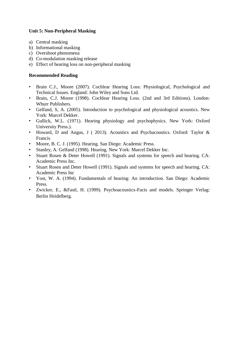# **Unit 5: Non-Peripheral Masking**

- a) Central masking
- b) Informational masking
- c) Overshoot phenomena
- d) Co-modulation masking release
- e) Effect of hearing loss on non-peripheral masking

- Brain C.J., Moore (2007). Cochlear Hearing Loss: Physiological, Psychological and Technical Issues. England: John Wiley and Sons Ltd.
- Brain, C.J. Moore (1998). Cochlear Hearing Loss. (2nd and 3rd Editions). London: Whurr Publishers.
- Gelfand, S, A. (2005). Introduction to psychological and physiological acoustics. New York: Marcel Dekker.
- Gullick, W.L. (1971). Hearing physiology and psychophysics. New York: Oxford University Press.).
- Howard, D and Angus, J ( 2013). Acoustics and Psychacoustics. Oxford: Taylor & Francis
- Moore, B. C. J. (1995). Hearing. San Diego: Academic Press.
- Stanley, A. Gelfand (1998). Hearing. New York: Marcel Dekker Inc.
- Stuart Rosen & Deter Howell (1991). Signals and systems for speech and hearing. CA: Academic Press Inc.
- Stuart Rosen and Deter Howell (1991). Signals and systems for speech and hearing. CA: Academic Press Inc
- Yost, W. A. (1994). Fundamentals of hearing: An introduction. San Diego: Academic Press.
- Zwicker, E., &Fastl, H. (1999). Psychoacoustics-Facts and models. Springer Verlag: Berlin Heidelberg.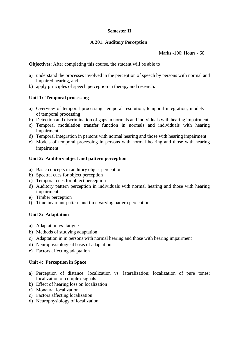## **Semester II**

# **A 201: Auditory Perception**

Marks -100: Hours - 60

**Objectives**: After completing this course, the student will be able to

- a) understand the processes involved in the perception of speech by persons with normal and impaired hearing, and
- b) apply principles of speech perception in therapy and research.

## **Unit 1: Temporal processing**

- a) Overview of temporal processing: temporal resolution; temporal integration; models of temporal processing
- b) Detection and discrimination of gaps in normals and individuals with hearing impairment
- c) Temporal modulation transfer function in normals and individuals with hearing impairment
- d) Temporal integration in persons with normal hearing and those with hearing impairment
- e) Models of temporal processing in persons with normal hearing and those with hearing impairment

# **Unit 2: Auditory object and pattern perception**

- a) Basic concepts in auditory object perception
- b) Spectral cues for object perception
- c) Temporal cues for object perception
- d) Auditory pattern perception in individuals with normal hearing and those with hearing impairment
- e) Timber perception
- f) Time invariant-pattern and time varying pattern perception

## **Unit 3: Adaptation**

- a) Adaptation vs. fatigue
- b) Methods of studying adaptation
- c) Adaptation in in persons with normal hearing and those with hearing impairment
- d) Neurophysiological basis of adaptation
- e) Factors affecting adaptation

## **Unit 4: Perception in Space**

- a) Perception of distance: localization vs. lateralization; localization of pure tones; localization of complex signals
- b) Effect of hearing loss on localization
- c) Monaural localization
- c) Factors affecting localization
- d) Neurophysiology of localization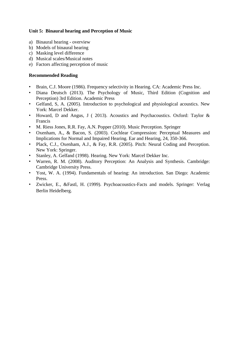# **Unit 5: Binaural hearing and Perception of Music**

- a) Binaural hearing overview
- b) Models of binaural hearing
- c) Masking level difference
- d) Musical scales/Musical notes
- e) Factors affecting perception of music

- Brain, C.J. Moore (1986). Frequency selectivity in Hearing. CA: Academic Press Inc.
- Diana Deutsch (2013). The Psychology of Music, Third Edition (Cognition and Perception) 3rd Edition. Academic Press
- Gelfand, S, A. (2005). Introduction to psychological and physiological acoustics. New York: Marcel Dekker.
- Howard, D and Angus, J ( 2013). Acoustics and Psychacoustics. Oxford: Taylor & Francis
- M. Riess Jones, R.R. Fay, A.N. Popper (2010). Music Perception. Springer
- Oxenham, A., & Bacon, S. (2003). Cochlear Compression: Perceptual Measures and Implications for Normal and Impaired Hearing. Ear and Hearing, 24, 350-366.
- Plack, C.J., Oxenham, A.J., & Fay, R.R. (2005). Pitch: Neural Coding and Perception. New York: Springer.
- Stanley, A. Gelfand (1998). Hearing. New York: Marcel Dekker Inc.
- Warren, R. M. (2008). Auditory Perception: An Analysis and Synthesis. Cambridge: Cambridge University Press.
- Yost, W. A. (1994). Fundamentals of hearing: An introduction. San Diego: Academic Press.
- Zwicker, E., &Fastl, H. (1999). Psychoacoustics-Facts and models. Springer: Verlag Berlin Heidelberg.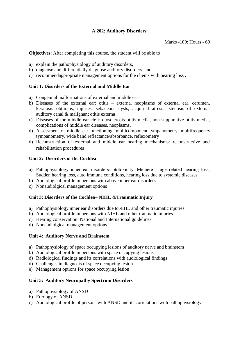# **A 202: Auditory Disorders**

**Objectives**: After completing this course, the student will be able to

- a) explain the pathophysiology of auditory disorders,
- b) diagnose and differentially diagnose auditory disorders, and
- c) recommendappropriate management options for the clients with hearing loss .

## **Unit 1: Disorders of the External and Middle Ear**

- a) Congenital malformations of external and middle ear
- b) Diseases of the external ear: otitis externa, neoplasms of external ear, cerumen, keratosis obturans, injuries, sebaceous cysts, acquired atresia, stenosis of external auditory canal & malignant otitis externa
- c) Diseases of the middle ear cleft: otosclerosis otitis media, non suppurative otitis media, complications of middle ear diseases, neoplasms.
- d) Assessment of middle ear functioning: multicomponent tympanometry, multifrequency tympanometry, wide band reflectance/absorbance, reflexometry
- d) Reconstruction of external and middle ear hearing mechanisms: reconstructive and rehabilitation procedures

## **Unit 2: Disorders of the Cochlea**

- a) Pathophysiology inner ear disorders: ototoxicity, Meniere's, age related hearing loss, Sudden hearing loss, auto immune conditions, hearing loss due to systemic diseases
- b) Audiological profile in persons with above inner ear disorders
- c) Nonaudiolgical management options

## **Unit 3: Disorders of the Cochlea– NIHL &Traumatic Injury**

- a) Pathophysiology inner ear disorders due toNIHL and other traumatic injuries
- b) Audiological profile in persons with NIHL and other traumatic injuries
- c) Hearing conservation: National and International guidelines
- d) Nonaudiolgical management options

#### **Unit 4: Auditory Nerve and Brainstem**

- a) Pathophysiology of space occupying lesions of auditory nerve and brainstem
- b) Audiological profile in persons with space occupying lesions
- d) Radiological findings and its correlations with audiological findings
- d) Challenges in diagnosis of space occupying lesion
- e) Management options for space occupying lesion

## **Unit 5: Auditory Neuropathy Spectrum Disorders**

- a) Pathophysiology of ANSD
- b) Etiology of ANSD
- c) Audiological profile of persons with ANSD and its correlations with pathophysiology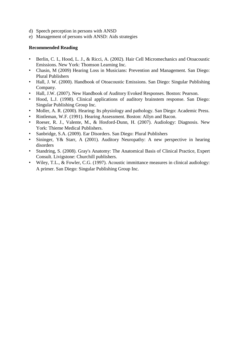- d) Speech perception in persons with ANSD
- e) Management of persons with ANSD: Aids strategies

- Berlin, C. I., Hood, L. J., & Ricci, A. (2002). Hair Cell Micromechanics and Otoacoustic Emissions. New York: Thomson Learning Inc.
- Chasin, M (2009) Hearing Loss in Musicians: Prevention and Management. San Diego: Plural Publishers
- Hall, J. W. (2000). Handbook of Otoacoustic Emissions. San Diego: Singular Publishing Company.
- Hall, J.W. (2007). New Handbook of Auditory Evoked Responses. Boston: Pearson.
- Hood, L.J. (1998). Clinical applications of auditory brainstem response. San Diego: Singular Publishing Group Inc.
- Moller, A. R. (2000). Hearing: Its physiology and pathology. San Diego: Academic Press.
- Rintleman, W.F. (1991). Hearing Assessment. Boston: Allyn and Bacon.
- Roeser, R. J., Valente, M., & Hosford-Dunn, H. (2007). Audiology: Diagnosis. New York: Thieme Medical Publishers.
- Sanbridge, S.A. (2009). Ear Disorders. San Diego: Plural Publishers
- Sininger, Y& Starr, A (2001). Auditory Neuropathy: A new perspective in hearing disorders
- Standring, S. (2008). Gray's Anatomy: The Anatomical Basis of Clinical Practice, Expert Consult. Livigstone: Churchill publishers.
- Wiley, T.L., & Fowler, C.G. (1997). Acoustic immittance measures in clinical audiology: A primer. San Diego: Singular Publishing Group Inc.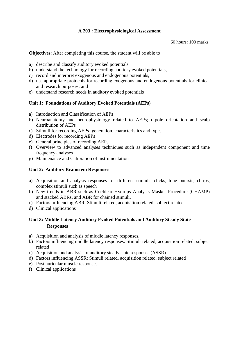# **A 203 : Electrophysiological Assessment**

60 hours: 100 marks

**Objectives**: After completing this course, the student will be able to

- a) describe and classify auditory evoked potentials,
- b) understand the technology for recording auditory evoked potentials,
- c) record and interpret exogenous and endogenous potentials,
- d) use appropriate protocols for recording exogenous and endogenous potentials for clinical and research purposes, and
- e) understand research needs in auditory evoked potentials

# **Unit 1: Foundations of Auditory Evoked Potentials (AEPs)**

- a) Introduction and Classification of AEPs
- b) Neuroanatomy and neurophysiology related to AEPs; dipole orientation and scalp distribution of AEPs
- c) Stimuli for recording AEPs- generation, characteristics and types
- d) Electrodes for recording AEPs
- e) General principles of recording AEPs
- f) Overview to advanced analyses techniques such as independent component and time frequency analyses
- g) Maintenance and Calibration of instrumentation

#### **Unit 2: Auditory Brainstem Responses**

- a) Acquisition and analysis responses for different stimuli -clicks, tone buursts, chirps, complex stimuli such as speech
- b) New trends in ABR such as Cochlear Hydrops Analysis Masker Procedure (CHAMP) and stacked ABRs, and ABR for chained stimuli,
- c) Factors influencing ABR: Stimuli related, acquisition related, subject related
- d) Clinical applications

# **Unit 3: Middle Latency Auditory Evoked Potentials and Auditory Steady State Responses**

- a) Acquisition and analysis of middle latency responses,
- b) Factors influencing middle latency responses: Stimuli related, acquisition related, subject related
- c) Acquisition and analysis of auditory steady state responses (ASSR)
- d) Factors influencing ASSR: Stimuli related, acquisition related, subject related
- e) Post auricular muscle responses
- f) Clinical applications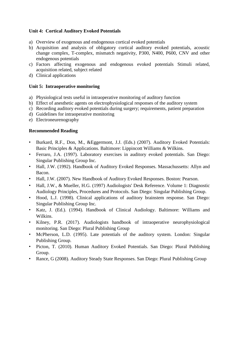## **Unit 4: Cortical Auditory Evoked Potentials**

- a) Overview of exogenous and endogenous cortical evoked potentials
- b) Acquisition and analysis of obligatory cortical auditory evoked potentials, acoustic change complex, T-complex, mismatch negativity, P300, N400, P600, CNV and other endogenous potentials
- c) Factors affecting exogenous and endogenous evoked potentials Stimuli related, acquisition related, subject related
- d) Clinical applications

#### **Unit 5: Intraoperative monitoring**

- a) Physiological tests useful in intraoperative monitoring of auditory function
- b) Effect of anesthetic agents on electrophysiological responses of the auditory system
- c) Recording auditory evoked potentials during surgery; requirements, patient preparation
- d) Guidelines for intraoperative monitoring
- e) Electroneurenography

- Burkard, R.F., Don, M., &Eggermont, J.J. (Eds.) (2007). Auditory Evoked Potentials: Basic Principles & Applications. Baltimore: Lippincott Williams & Wilkins.
- Ferraro, J.A. (1997). Laboratory exercises in auditory evoked potentials. San Diego: Singular Publishing Group Inc.
- Hall, J.W. (1992). Handbook of Auditory Evoked Responses. Massachussetts: Allyn and Bacon.
- Hall, J.W. (2007). New Handbook of Auditory Evoked Responses. Boston: Pearson.
- Hall, J.W., & Mueller, H.G. (1997) Audiologists' Desk Reference. Volume 1: Diagnostic Audiology Principles, Procedures and Protocols. San Diego: Singular Publishing Group.
- Hood, L.J. (1998). Clinical applications of auditory brainstem response. San Diego: Singular Publishing Group Inc.
- Katz, J. (Ed.). (1994). Handbook of Clinical Audiology. Baltimore: Williams and Wilkins.
- Kilney, P.R. (2017). Audiologists handbook of intraoperative neurophysiological monitoring. San Diego: Plural Publishing Group
- McPherson, L.D. (1995). Late potentials of the auditory system. London: Singular Publishing Group.
- Picton, T. (2010). Human Auditory Evoked Potentials. San Diego: Plural Publishing Group.
- Rance, G (2008). Auditory Steady State Responses. San Diego: Plural Publishing Group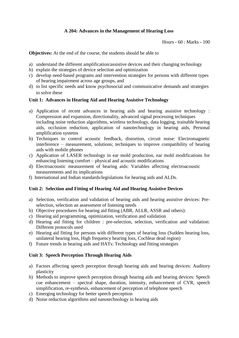# **A 204: Advances in the Management of Hearing Loss**

Hours - 60 : Marks - 100

**Objectives:** At the end of the course, the students should be able to

- a) understand the different amplification/assistive devices and their changing technology
- b) explain the strategies of device selection and optimization
- c) develop need-based programs and intervention strategies for persons with different types of hearing impairment across age groups, and
- d) to list specific needs and know psychosocial and communicative demands and strategies to solve these

#### **Unit 1: Advances in Hearing Aid and Hearing Assistive Technology**

- a) Application of recent advances in hearing aids and hearing assistive technology : Compression and expansion, directionality, advanced signal processing techniques including noise reduction algorithms, wireless technology, data logging, trainable hearing aids, occlusion reduction, application of nanotechnology in hearing aids, Personal amplification systems
- b) Techniques to control acoustic feedback, distortion, circuit noise: Electromagnetic interference – measurement, solutions; techniques to improve compatibility of hearing aids with mobile phones
- c) Application of LASER technology in ear mold production, ear mold modifications for enhancing listening comfort – physical and acoustic modifications
- d) Electroacoustic measurement of hearing aids: Variables affecting electroacoustic measurements and its implications
- f) International and Indian standards/legislations for hearing aids and ALDs.

#### **Unit 2: Selection and Fitting of Hearing Aid and Hearing Assistive Devices**

- a) Selection, verification and validation of hearing aids and hearing assistive devices: Preselection, selection an assessment of listening needs
- b) Objective procedures for hearing aid fitting (ABR, ALLR, ASSR and others):
- c) Hearing aid programming, optimization, verification and validation
- d) Hearing aid fitting for children : pre-selection, selection, verification and validation: Different protocols used
- e) Hearing aid fitting for persons with different types of hearing loss (Sudden hearing loss, unilateral hearing loss, High frequency hearing loss, Cochlear dead region)
- f) Future trends in hearing aids and HATs: Technology and fitting strategies

#### **Unit 3: Speech Perception Through Hearing Aids**

- a) Factors affecting speech perception through hearing aids and hearing devices: Auditory plasticity
- b) Methods to improve speech perception through hearing aids and hearing devices: Speech cue enhancement – spectral shape, duration, intensity, enhancement of CVR, speech simplification, re-synthesis, enhancement of perception of telephone speech
- c) Emerging technology for better speech perception
- d) Noise reduction algorithms and nanotechnology in hearing aids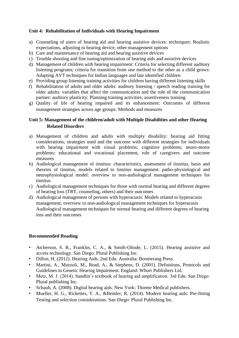# **Unit 4: Rehabilitation of Individuals with Hearing Impairment**

- a) Counseling of users of hearing aid and hearing assistive devices: techniques: Realistic expectations, adjusting to hearing device, other management options
- b) Care and maintenance of hearing aid and hearing assistive devices
- c) Trouble shooting and fine tuning/optimization of hearing aids and assistive devices
- d) Management of children with hearing impairment: Criteria for selecting different auditory listening programs; criteria for transition from one method to the other as a child grows: Adapting AVT techniques for Indian languages and late identified children
- e) Providing group listening training activities for children having different listening skills
- f) Rehabilitation of adults and older adults: auditory listening / speech reading training for older adults: variables that affect the communication and the role of the communication partner: auditory plasticity: Planning training activities; assertiveness training
- g) Quality of life of hearing impaired and its enhancement: Outcomes of different management strategies across age groups: Methods and measures

# **Unit 5: Management of the children/adult with Multiple Disabilities and other Hearing Related Disorders**

- a) Management of children and adults with multiply disability: hearing aid fitting considerations, strategies used and the outcome with different strategies for individuals with hearing impairment with visual problems; cognitive problems; neuro-motor problems: educational and vocational placement, role of caregivers and outcome measures
- b) Audiological management of tinnitus: characteristics, assessment of tinnitus, basis and theories of tinnitus, models related to tinnitus management: patho-physiological and neurophysiological model: overview to non-audiological management techniques for tinnitus
- c) Audiological management techniques for those with normal hearing and different degrees of hearing loss (TRT, counseling, others) and their outcomes
- d) Audiological management of persons with hyperacusis: Models related to hyperacusis management; overview to non-audiological management techniques for hyperacusis Audiological management techniques for normal hearing and different degrees of hearing loss and their outcomes

- Atcherson, S. R., Franklin, C. A., & Smith-Olinde, L. (2015). Hearing assistive and access technology. San Diego: Plural Publishing Inc.
- Dillon, H. (2012). Hearing Aids. 2nd Edn. Australia: Boomerang Press.
- Martini, A., Mazzoli, M., Read, A., & Stephens, D. (2001). Definitions, Protocols and Guidelines in Genetic Hearing Impairment. England: Whurr Publishers Ltd.
- Metz, M. J. (2014). Sandlin's textbook of hearing aid amplification. 3rd Edn. San Diego: Plural publishing Inc.
- Schaub, A. (2008). Digital hearing aids. New York: Thieme Medical publishers.
- Mueller, H. G., Rickettes, T. A., &Bentler, R. (2014). Modern hearing aids: Pre-fitting Testing and selection considerations. San Diego: Plural Publishing Inc.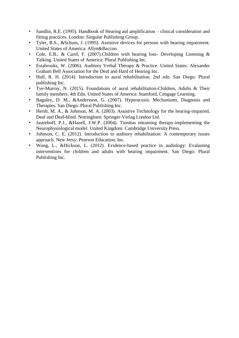- Sandlin, R.E. (1995). Handbook of Hearing aid amplification clinical consideration and fitting practices. London: Singular Publishing Group.
- Tyler, R.S., &Schum, J. (1995). Assistive devices for persons with hearing impairment. United States of America: Allyn&Baccon.
- Cole, E.B., & Carol, F. (2007).Children with hearing loss- Developing Listening & Talking. United States of America: Plural Publishing Inc.
- Estabrooks, W. (2006). Auditory Verbal Therapy & Practice. United States: Alexander Graham Bell Association for the Deaf and Hard of Hearing Inc.
- Hull, R. H. (2014). Introduction to aural rehabilitation. 2nd edn. San Diego: Plural publishing Inc.
- Tye-Murray, N. (2015). Foundations of aural rehabilitation-Children, Adults & Their family members. 4th Edn. United States of America: Stamford, Cengage Learning.
- Baguley, D. M., &Andersson, G. (2007). Hyperacusis: Mechanisms, Diagnosis and Therapies. San Diego: Plural Publishing Inc.
- Hersh, M. A., & Johnson, M. A. (2003). Assistive Technology for the hearing-impaired, Deaf and Deaf-blind. Nottingham: Springer-Verlag London Ltd.
- Jastreboff, P.J., &Hazell, J.W.P. (2004). Tinnitus retraining therapy-implementing the Neurophysiological model. United Kingdom: Cambridge University Press.
- Johnson, C. E. (2012). Introduction to auditory rehabilitation: A contemporary issues approach. New Jersy: Pearson Education, Inc.
- Wong, L., &Hickson, L. (2012). Evidence-based practice in audiology: Evalauting interventions for children and adults with hearing impairment. San Diego: Plural Publishing Inc.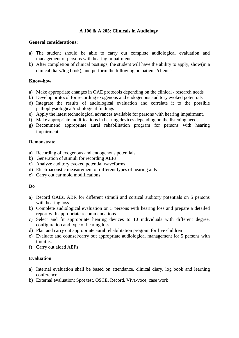## **A 106 & A 205: Clinicals in Audiology**

#### **General considerations:**

- a) The student should be able to carry out complete audiological evaluation and management of persons with hearing impairment.
- b) After completion of clinical postings, the student will have the ability to apply, show(in a clinical diary/log book), and perform the following on patients/clients:

#### **Know-how**

- a) Make appropriate changes in OAE protocols depending on the clinical / research needs
- b) Develop protocol for recording exogenous and endogenous auditory evoked potentials
- d) Integrate the results of audiological evaluation and correlate it to the possible pathophysiological/radiological findings
- e) Apply the latest technological advances available for persons with hearing impairment.
- f) Make appropriate modifications in hearing devices depending on the listening needs.
- g) Recommend appropriate aural rehabilitation program for persons with hearing impairment

#### **Demonstrate**

- a) Recording of exogenous and endogenous potentials
- b) Generation of stimuli for recording AEPs
- c) Analyze auditory evoked potential waveforms
- d) Electroacoustic measurement of different types of hearing aids
- e) Carry out ear mold modifications

## **Do**

- a) Record OAEs, ABR for different stimuli and cortical auditory potentials on 5 persons with hearing loss
- b) Complete audiological evaluation on 5 persons with hearing loss and prepare a detailed report with appropriate recommendations
- c) Select and fit appropriate hearing devices to 10 individuals with different degree, configuration and type of hearing loss.
- d) Plan and carry out appropriate aural rehabilitation program for five children
- e) Evaluate and counsel/carry out appropriate audiological management for 5 persons with tinnitus.
- f) Carry out aided AEPs

## **Evaluation**

- a) Internal evaluation shall be based on attendance, clinical diary, log book and learning conference.
- b) External evaluation: Spot test, OSCE, Record, Viva-voce, case work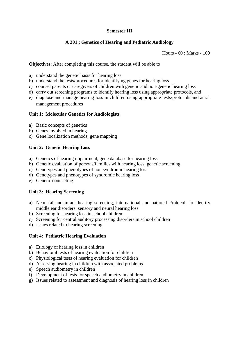## **Semester III**

## **A 301 : Genetics of Hearing and Pediatric Audiology**

Hours - 60 : Marks - 100

**Objectives**: After completing this course, the student will be able to

- a) understand the genetic basis for hearing loss
- b) understand the tests/procedures for identifying genes for hearing loss
- c) counsel parents or caregivers of children with genetic and non-genetic hearing loss
- d) carry out screening programs to identify hearing loss using appropriate protocols, and
- e) diagnose and manage hearing loss in children using appropriate tests/protocols and aural management procedures

#### **Unit 1: Molecular Genetics for Audiologists**

- a) Basic concepts of genetics
- b) Genes involved in hearing
- c) Gene localization methods, gene mapping

#### **Unit 2: Genetic Hearing Loss**

- a) Genetics of hearing impairment, gene database for hearing loss
- b) Genetic evaluation of persons/families with hearing loss, genetic screening
- c) Genotypes and phenotypes of non syndromic hearing loss
- d) Genotypes and phenotypes of syndromic hearing loss
- e) Genetic counseling

## **Unit 3: Hearing Screening**

- a) Neonatal and infant hearing screening, international and national Protocols to identify middle ear disorders; sensory and neural hearing loss
- b) Screening for hearing loss in school children
- c) Screening for central auditory processing disorders in school children
- d) Issues related to hearing screening

#### **Unit 4: Pediatric Hearing Evaluation**

- a) Etiology of hearing loss in children
- b) Behavioral tests of hearing evaluation for children
- c) Physiological tests of hearing evaluation for children
- d) Assessing hearing in children with associated problems
- e) Speech audiometry in children
- f) Development of tests for speech audiometry in children
- g) Issues related to assessment and diagnosis of hearing loss in children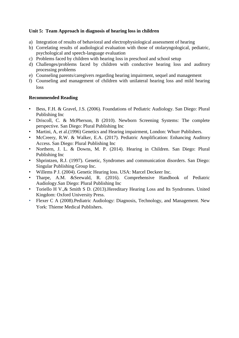# **Unit 5: Team Approach in diagnosis of hearing loss in children**

- a) Integration of results of behavioral and electrophysiological assessment of hearing
- b) Correlating results of audiological evaluation with those of otolaryngological, pediatric, psychological and speech-language evaluation
- c) Problems faced by children with hearing loss in preschool and school setup
- d) Challenges/problems faced by children with conductive hearing loss and auditory processing problems
- e) Counseling parents/caregivers regarding hearing impairment, sequel and management
- f) Counseling and management of children with unilateral hearing loss and mild hearing loss

- Bess, F.H. & Gravel, J.S. (2006). Foundations of Pediatric Audiology. San Diego: Plural Publishing Inc
- Driscoll, C. & McPherson, B (2010). Newborn Screening Systems: The complete perspective. San Diego: Plural Publishing Inc
- Martini, A, et al.(1996) Genetics and Hearing impairment, London: Whurr Publishers.
- McCreery, R.W. & Walker, E.A. (2017). Pediatric Amplification: Enhancing Auditory Access. San Diego: Plural Publishing Inc
- Northern, J. L. & Downs, M. P. (2014). Hearing in Children. San Diego: Plural Publishing Inc
- Shprintzen, R.J. (1997). Genetic, Syndromes and communication disorders. San Diego: Singular Publishing Group Inc.
- Willems P J. (2004). Genetic Hearing loss. USA: Marcel Deckeer Inc.
- Tharpe, A.M. &Seewald, R. (2016). Comprehensive Handbook of Pediatric Audiology.San Diego: Plural Publishing Inc
- Toriello H V., & Smith S D. (2013). Hereditary Hearing Loss and Its Syndromes. United Kingdom: Oxford University Press.
- Flexer C A (2008).Pediatric Audiology: Diagnosis, Technology, and Management. New York: Thieme Medical Publishers.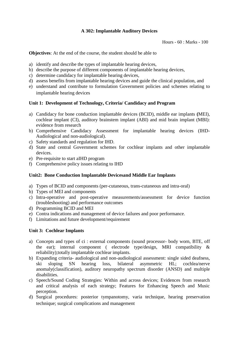# **A 302: Implantable Auditory Devices**

**Objectives**: At the end of the course, the student should be able to

- a) identify and describe the types of implantable hearing devices,
- b) describe the purpose of different components of implantable hearing devices,
- c) determine candidacy for implantable hearing devices,
- d) assess benefits from implantable hearing devices and guide the clinical population, and
- e) understand and contribute to formulation Government policies and schemes relating to implantable hearing devices

# **Unit 1: Development of Technology, Criteria/ Candidacy and Program**

- a) Candidacy for bone conduction implantable devices (BCID), middle ear implants **(**MEI), cochlear implant (CI), auditory brainstem implant (ABI) and mid brain implant (MBI): evidence from research
- b) Comprehensive Candidacy Assessment for implantable hearing devices (IHD-Audiological and non-audiological).
- c) Safety standards and regulation for IHD.
- d) State and central Government schemes for cochlear implants and other implantable devices.
- e) Pre-requisite to start aIHD program
- f) Comprehensive policy issues relating to IHD

# **Unit2: Bone Conduction Implantable Devicesand Middle Ear Implants**

- a) Types of BCID and components (per-cutaneous, trans-cutaneous and intra-oral)
- b) Types of MEI and components
- c) Intra-operative and post-operative measurements/assessment for device function (troubleshooting) and performance outcomes
- d) Programming BCID and MEI
- e) Contra indications and management of device failures and poor performance.
- f) Limitations and future development/requirement

## **Unit 3: Cochlear Implants**

- a) Concepts and types of ci : external components (sound processor- body worn, BTE, off the ear); internal component ( electrode type/design, MRI compatibility & reliability);totally implantable cochlear implants.
- b) Expanding criteria- audiological and non-audiological assessment: single sided deafness, ski sloping SN hearing loss, bilateral asymmetric HL; cochlea/nerve anomaly(classification), auditory neuropathy spectrum disorder (ANSD) and multiple disabilities.
- c) Speech/Sound Coding Strategies: Within and across devices; Evidences from research and critical analysis of each strategy; Features for Enhancing Speech and Music perception.
- d) Surgical procedures: posterior tympanotomy, varia technique, hearing preservation technique; surgical complications and management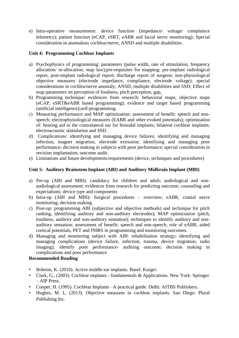e) Intra-operative measurement: device function (impedance/ voltage/ complaince telemetry); patient function (eCAP, eSRT, eABR and facial nerve monitoring); Special consideration in anomalous cochlear/nerve, ANSD and multiple disabilities.

## **Unit 4: Programming Cochlear Implants**

- a) Psychophysics of programming: parameters (pulse width, rate of stimulation, frequency allocation/ re-allocation, map law);pre-requisites for mapping: pre-implant radiological report, post-implant radiological report; discharge report of surgeon; non-physiological objective measures (electrode impedance, compliance, electrode voltage); special considerations in cochlea/nerve anomaly, ANSD, multiple disabilities and SSD; Effect of map parameters on perception of loudness, pitch perception, gap,
- b) Programming technique: evidences from research: behavioral maps; objective maps (eCAP, eSRT&eABR based programming); evidence and target based programming (artificial intelligence);self-programming.
- c) Measuring performance and MAP optimization: assessment of benefit: speech and nonspeech; electrophysiological measures (EABR and other evoked potentials); optimization of: hearing aid in the contralateral ear for bimodal implants; bilateral cochlear implants; electroacoustic stimulation and SSD.
- d) Complications: identifying and managing device failures; identifying and managing infection, magnet migration, electrode extrusion; identifying and managing poor performance; decision making in subjects with poor performance; special consideration in revision implantation; outcome audit.
- e) Limitations and future developments/requirements (device, techniques and procedures)

# **Unit 5: Auditory Brainstem Implant (ABI) and Auditory Midbrain Implant (MBI)**

- a) Pre-op (ABI and MBI): candidacy for children and adult; audiological and nonaudiological assessment; evidences from research for predicting outcome; counseling and expectations; device type and components
- b) Intra-op (ABI and MBI): Surgical procedures overview; eABR, cranial nerve monitoring; decision making.
- c) Post-op: programming ABI (subjective and objective methods) and technique for pitch ranking, identifying auditory and non-auditory electrodes); MAP optimization (pitch, loudness, auditory and non-auditory sensation); techniques to identify auditory and nonauditory sensation; assessment of benefit: speech and non-speech; role of eABR, aided cortical potentials, PET and fNIRS in programming and monitoring outcomes.
- d) Managing and monitoring subject with ABI: rehabilitation strategy; identifying and managing complications (device failure, infection, trauma, device migration, radio imaging); identify poor performance- auditing outcome; decision making in complications and poor performance

- Boheim, K. (2010). Active middle ear implants. Basel: Karger.
- Clark, G., (2003). Cochlear implants fundamentals & Applications. New York: Springer – AIP Press.
- Cooper, H. (1995). Cochlear Implants –A practical guide. Delhi: AITBS Publishers.
- Hughes, M. L. (2013). Objective measures in cochlear implants. San Diego: Plural Publishing Inc.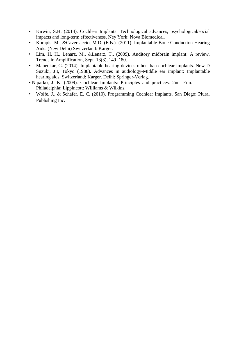- Kirwin, S.H. (2014). Cochlear Implants: Technological advances, psychological/social impacts and long-term effectiveness. Ney York: Nova Biomedical.
- Kompis, M., &Caversaccio, M.D. (Eds.). (2011). Implantable Bone Conduction Hearing Aids. (New Delhi) Switzerland: Karger.
- Lim, H. H., Lenarz, M., &Lenarz, T., (2009). Auditory midbrain implant: A review. Trends in Amplification, Sept. 13(3), 149–180.
- Manenkar, G. (2014). Implantable hearing devices other than cochlear implants. New D Suzuki, J.I, Tokyo (1988). Advances in audiology-Middle ear implant: Implantable hearing aids. Switzerland: Karger. Delhi: Springer-Verlag.
- Niparko, J. K. (2009). Cochlear Implants: Principles and practices. 2nd Edn. Philadelphia: Lippincott: Williams & Wilkins.
- Wolfe, J., & Schafer, E. C. (2010). Programming Cochlear Implants. San Diego: Plural Publishing Inc.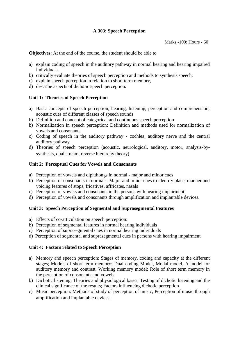# **A 303: Speech Perception**

**Objectives**: At the end of the course, the student should be able to

- a) explain coding of speech in the auditory pathway in normal hearing and hearing impaired individuals,
- b) critically evaluate theories of speech perception and methods to synthesis speech,
- c) explain speech perception in relation to short term memory,
- d) describe aspects of dichotic speech perception.

# **Unit 1: Theories of Speech Perception**

- a) Basic concepts of speech perception; hearing, listening, perception and comprehension; acoustic cues of different classes of speech sounds
- b) Definition and concept of categorical and continuous speech perception
- b) Normalization in speech perception: Definition and methods used for normalization of vowels and consonants
- c) Coding of speech in the auditory pathway cochlea, auditory nerve and the central auditory pathway
- d) Theories of speech perception (acoustic, neurological, auditory, motor, analysis-bysynthesis, dual stream, reverse hierarchy theory)

## **Unit 2: Perceptual Cues for Vowels and Consonants**

- a) Perception of vowels and diphthongs in normal major and minor cues
- b) Perception of consonants in normals: Major and minor cues to identify place, manner and voicing features of stops, fricatives, affricates, nasals
- c) Perception of vowels and consonants in the persons with hearing impairment
- d) Perception of vowels and consonants through amplification and implantable devices.

## **Unit 3: Speech Perception of Segmental and Suprasegmental Features**

- a) Effects of co-articulation on speech perception:
- b) Perception of segmental features in normal hearing individuals
- c) Perception of suprasegmental cues in normal hearing individuals
- d) Perception of segmental and suprasegmental cues in persons with hearing impairment

#### **Unit 4: Factors related to Speech Perception**

- a) Memory and speech perception: Stages of memory, coding and capacity at the different stages; Models of short term memory: Dual coding Model, Modal model, A model for auditory memory and contrast, Working memory model; Role of short term memory in the perception of consonants and vowels
- b) Dichotic listening: Theories and physiological bases: Testing of dichotic listening and the clinical significance of the results; Factors influencing dichotic perception
- c) Music perception: Methods of study of perception of music; Perception of music through amplification and implantable devices.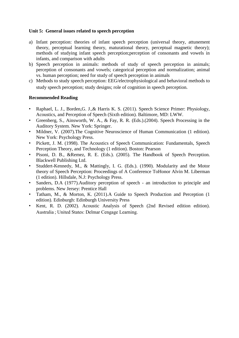## **Unit 5: General issues related to speech perception**

- a) Infant perception: theories of infant speech perception (universal theory, attunement theory, perceptual learning theory, maturational theory, perceptual magnetic theory); methods of studying infant speech perception;perception of consonants and vowels in infants, and comparison with adults
- b) Speech perception in animals: methods of study of speech perception in animals; perception of consonants and vowels; categorical perception and normalization; animal vs. human perception; need for study of speech perception in animals
- c) Methods to study speech perception: EEG/electrophysiological and behavioral methods to study speech perception; study designs; role of cognition in speech perception.

- Raphael, L. J., Borden, G. J., & Harris K. S. (2011). Speech Science Primer: Physiology, Acoustics, and Perception of Speech (Sixth edition). Baltimore, MD: LWW.
- Greenberg, S., Ainsworth, W. A., & Fay, R. R. (Eds.).(2004). Speech Processing in the Auditory System. New York: Springer.
- Mildner, V. (2007).The Cognitive Neuroscience of Human Communication (1 edition). New York: Psychology Press.
- Pickett, J. M. (1998). The Acoustics of Speech Communication: Fundamentals, Speech Perception Theory, and Technology (1 edition). Boston: Pearson
- Pisoni, D. B., &Remez, R. E. (Eds.). (2005). The Handbook of Speech Perception. Blackwell Publishing Ltd.
- Studdert-Kennedy, M., & Mattingly, I. G. (Eds.). (1990). Modularity and the Motor theory of Speech Perception: Proceedings of A Conference ToHonor Alvin M. Liberman (1 edition). Hillsdale, N.J: Psychology Press.
- Sanders, D.A (1977). Auditory perception of speech an introduction to principle and problems. New Jersey: Prentice Hall
- Tatham, M., & Morton, K. (2011).A Guide to Speech Production and Perception (1 edition). Edinburgh: Edinburgh University Press
- Kent, R. D. (2002). Acoustic Analysis of Speech (2nd Revised edition edition). Australia ; United States: Delmar Cengage Learning.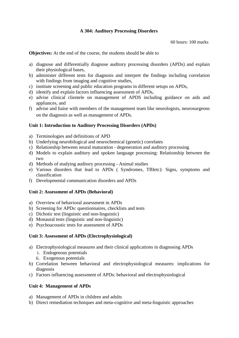## **A 304: Auditory Processing Disorders**

60 hours: 100 marks

**Objectives:** At the end of the course, the students should be able to

- a) diagnose and differentially diagnose auditory processing disorders (APDs) and explain their physiological bases,
- b) administer different tests for diagnosis and interpret the findings including correlation with findings from imaging and cognitive studies,
- c) institute screening and public education programs in different setups on APDs,
- d) identify and explain factors influencing assessment of APDs,
- e) advise clinical clientele on management of APDS including guidance on aids and appliances, and
- f) advise and liaise with members of the management team like neurologists, neurosurgeons on the diagnosis as well as management of APDs.

## **Unit 1: Introduction to Auditory Processing Disorders (APDs)**

- a) Terminologies and definitions of APD
- b) Underlying neurobilogical and neurochemical (genetic) correlates
- c) Relationship between neural maturation degeneration and auditory processing
- d) Models to explain auditory and spoken language processing: Relationship between the two
- d) Methods of studying auditory processing Animal studies
- e) Various disorders that lead to APDs ( Syndromes, TBIetc): Signs, symptoms and classification
- f) Developmental communication disorders and APDs

#### **Unit 2: Assessment of APDs (Behavioral)**

- a) Overview of behavioral assessment in APDs
- b) Screening for APDs: questionnaires, checklists and tests
- c) Dichotic test (linguistic and non-linguistic)
- d) Monaural tests (linguistic and non-linguistic)
- e) Psychoacoustic tests for assessment of APDs

#### **Unit 3: Assessment of APDs (Electrophysiological)**

- a) Electrophysiological measures and their clinical applications in diagnosing APDs
	- i. Endogenous potentials
	- ii. Exogenous potentials
- b) Correlation between behavioral and electrophysiological measures: implications for diagnosis
- c) Factors influencing assessment of APDs: behavioral and electrophysiological

## **Unit 4: Management of APDs**

- a) Management of APDs in children and adults
- b) Direct remediation techniques and meta-cognitive and meta-linguistic approaches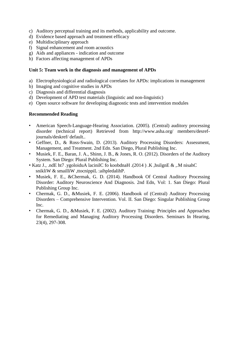- c) Auditory perceptual training and its methods, applicability and outcome.
- d) Evidence based approach and treatment efficacy
- e) Multidisciplinary approach
- f) Signal enhancement and room acoustics
- g) Aids and appliances indication and outcome
- h) Factors affecting management of APDs

#### **Unit 5: Team work in the diagnosis and management of APDs**

- a) Electrophysiological and radiological correlates for APDs: implications in management
- b) Imaging and cognitive studies in APDs
- c) Diagnosis and differential diagnosis
- d) Development of APD test materials (linguistic and non-linguistic)
- e) Open source software for developing diagnostic tests and intervention modules

- American Speech-Language-Hearing Association. (2005). (Central) auditory processing disorder (technical report) Retrieved from http://www.asha.org/ members/desrefjournals/deskref/ default..
- Geffner, D., & Ross-Swain, D. (2013). Auditory Processing Disorders: Assessment, Management, and Treatment. 2nd Edn. San Diego, Plural Publishing Inc.
- Musiek, F. E., Baran, J. A., Shinn, J. B., & Jones, R. O. (2012). Disorders of the Auditory System. San Diego: Plural Publishing Inc.
- Katz J., .ndE ht7 .ygoloiduA lacinilC fo koobdnaH .(2014 ) .K ,hsilgnE & ,.M nisahC snikliW & smailliW ,ttocnippiL :aihpledalihP.
- Musiek, F. E., &Chermak, G. D. (2014). Handbook Of Central Auditory Processing Disorder: Auditory Neuroscience And Diagnosis. 2nd Edn, Vol: 1. San Diego: Plural Publishing Group Inc.
- Chermak, G. D., &Musiek, F. E. (2006). Handbook of (Central) Auditory Processing Disorders – Comprehensive Intervention. Vol. II. San Diego: Singular Publishing Group Inc.
- Chermak, G. D., &Musiek, F. E. (2002). Auditory Training: Principles and Approaches for Remediating and Managing Auditory Processing Disorders. Seminars In Hearing, 23(4), 297-308.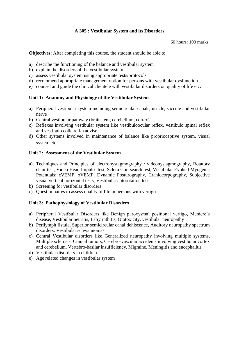# **A 305 : Vestibular System and its Disorders**

60 hours: 100 marks

**Objectives**: After completing this course, the student should be able to

- a) describe the functioning of the balance and vestibular system
- b) explain the disorders of the vestibular system
- c) assess vestibular system using appropriate tests/protocols
- d) recommend appropriate management option for persons with vestibular dysfunction
- e) counsel and guide the clinical clientele with vestibular disorders on quality of life etc.

## **Unit 1: Anatomy and Physiology of the Vestibular System**

- a) Peripheral vestibular system including semicircular canals, utricle, saccule and vestibular nerve
- b) Central vestibular pathway (brainstem, cerebellum, cortex)
- c) Reflexes involving vestibular system like vestibuloocular reflex, vestibulo spinal reflex and vestibulo colic reflexadvise
- d) Other systems involved in maintenance of balance like proprioceptive system, visual system etc.

#### **Unit 2: Assessment of the Vestibular System**

- a) Techniques and Principles of electronystagmography / videonystagmography, Rotatory chair test, Video Head Impulse test, Sclera Coil search test, Vestibular Evoked Myogenic Potentials: cVEMP, oVEMP, Dynamic Posturography, Craniocorpography, Subjective visual vertical horizontal tests, Vestibular autorotation tests
- b) Screening for vestibular disorders
- c) Questionnaires to assess quality of life in persons with vertigo

## **Unit 3: Pathophysiology of Vestibular Disorders**

- a) Peripheral Vestibular Disorders like Benign paroxysmal positional vertigo, Meniere's disease, Vestibular neuritis, Labyrinthitis, Ototoxicity, vestibular neuropathy
- b) Perilymph fistula, Superior semicircular canal dehiscence, Auditory neuropathy spectrum disorders, Vestibular schwannomas
- c) Central Vestibular disorders like Generalized neuropathy involving multiple systems, Multiple sclerosis, Cranial tumors, Cerebro-vascular accidents involving vestibular cortex and cerebellum, Vertebro-basilar insufficiency, Migraine, Meningitis and encephalitis
- d) Vestibular disorders in children
- e) Age related changes in vestibular system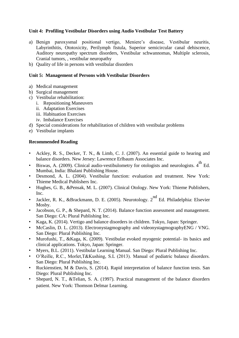## **Unit 4: Profiling Vestibular Disorders using Audio Vestibular Test Battery**

- a) Benign paroxysmal positional vertigo, Meniere's disease, Vestibular neuritis, Labyrinthitis, Ototoxicity, Perilymph fistula, Superior semicircular canal dehiscence, Auditory neuropathy spectrum disorders, Vestibular schwannomas, Multiple sclerosis, Cranial tumors, , vestibular neuropathy
- b) Quality of life in persons with vestibular disorders

#### **Unit 5: Management of Persons with Vestibular Disorders**

- a) Medical management
- b) Surgical management
- c) Vestibular rehabilitation:
	- i. Repositioning Maneuvers
	- ii. Adaptation Exercises
	- iii. Habituation Exercises
	- iv. Imbalance Exercises
- d) Special considerations for rehabilitation of children with vestibular problems
- e) Vestibular implants

- Ackley, R. S., Decker, T. N., & Limb, C. J. (2007). An essential guide to hearing and balance disorders. New Jersey: Lawrence Erlbaum Associates Inc.
- Biswas, A. (2009). Clinical audio-vestibulometry for otologists and neurologists.  $4^{\text{th}}$  Ed. Mumbai, India: Bhalani Publishing House.
- Desmond, A. L. (2004). Vestibular function: evaluation and treatment. New York: Thieme Medical Publishers Inc.
- Hughes, G. B., &Pensak, M. L. (2007). Clinical Otology. New York: Thieme Publishers, Inc.
- Jackler, R. K., &Brackmann, D. E. (2005). Neurotology.  $2^{nd}$  Ed. Philadelphia: Elsevier Mos<sub>by</sub>.
- Jacobson, G. P., & Shepard, N. T. (2014). Balance function assessment and management. San Diego: CA: Plural Publishing Inc.
- Kaga, K. (2014). Vertigo and balance disorders in children. Tokyo, Japan: Springer.
- McCaslin, D. L. (2013). Electronystagmography and videonystagmographyENG / VNG. San Diego: Plural Publishing Inc.
- Murofushi, T., &Kaga, K. (2009). Vestibular evoked myogenic potential- its basics and clinical applications. Tokyo, Japan: Springer.
- Myers, B.L. (2011). Vestibular Learning Manual. San Diego: Plural Publishing Inc.
- O'Reille, R.C., Morlet,T&Kushing, S.L (2013). Manual of pediatric balance disorders. San Diego: Plural Publishing Inc.
- Ruckienstien, M & Davis, S. (2014). Rapid interpretation of balance function tests. San Diego: Plural Publishing Inc.
- Shepard, N. T., &Telian, S. A. (1997). Practical management of the balance disorders patient. New York: Thomson Delmar Learning.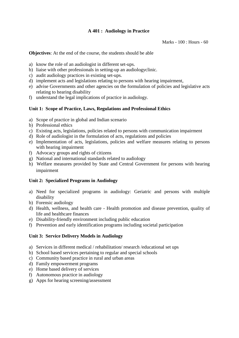# **A 401 : Audiology in Practice**

Marks - 100 : Hours - 60

**Objectives**: At the end of the course, the students should be able

- a) know the role of an audiologist in different set-ups.
- b) liaise with other professionals in setting-up an audiologyclinic.
- c) audit audiology practices in existing set-ups.
- d) implement acts and legislations relating to persons with hearing impairment,
- e) advise Governments and other agencies on the formulation of policies and legislative acts relating to hearing disability
- f) understand the legal implications of practice in audiology.

#### **Unit 1: Scope of Practice, Laws, Regulations and Professional Ethics**

- a) Scope of practice in global and Indian scenario
- b) Professional ethics
- c) Existing acts, legislations, policies related to persons with communication impairment
- d) Role of audiologist in the formulation of acts, regulations and policies
- e) Implementation of acts, legislations, policies and welfare measures relating to persons with hearing impairment
- f) Advocacy groups and rights of citizens
- g) National and international standards related to audiology
- h) Welfare measures provided by State and Central Government for persons with hearing impairment

## **Unit 2: Specialized Programs in Audiology**

- a) Need for specialized programs in audiology: Geriatric and persons with multiple disability
- b) Forensic audiology
- d) Health, wellness, and health care Health promotion and disease prevention, quality of life and healthcare finances
- e) Disability-friendly environment including public education
- f) Prevention and early identification programs including societal participation

#### **Unit 3: Service Delivery Models in Audiology**

- a) Services in different medical / rehabilitation/ research /educational set ups
- b) School based services pertaining to regular and special schools
- c) Community based practice in rural and urban areas
- d) Family empowerment programs
- e) Home based delivery of services
- f) Autonomous practice in audiology
- g) Apps for hearing screening/assessment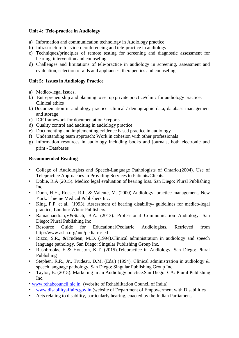# **Unit 4: Tele-practice in Audiology**

- a) Information and communication technology in Audiology practice
- b) Infrastructure for video-conferencing and tele-practice in audiology
- c) Techniques/principles of remote testing for screening and diagnostic assessment for hearing, intervention and counseling
- d) Challenges and limitations of tele-practice in audiology in screening, assessment and evaluation, selection of aids and appliances, therapeutics and counseling.

# **Unit 5: Issues in Audiology Practice**

- a) Medico-legal issues,
- b) Entrepreneurship and planning to set up private practice/clinic for audiology practice: Clinical ethics
- b) Documentation in audiology practice: clinical / demographic data, database management and storage
- c) ICF framework for documentation / reports
- d) Quality control and auditing in audiology practice
- e) Documenting and implementing evidence based practice in audiology
- f) Understanding team approach: Work in cohesion with other professionals
- g) Information resources in audiology including books and journals, both electronic and print - Databases

- College of Audiologists and Speech-Language Pathologists of Ontario.(2004). Use of Telepractice Approaches in Providing Services to Patients/Clients.
- Dobie, R.A (2015). Medico legal evaluation of hearing loss. San Diego: Plural Publishing Inc
- Dunn, H.H., Roeser, R.J., & Valente, M. (2000). Audiology- practice management. New York: Thieme Medical Publishers Inc.
- King, P.F. et al., (1993). Assessment of hearing disability- guidelines for medico-legal practice, London: Whurr Publishers.
- Ramachandran,V&Stach, B.A. (2013). Professional Communication Audiology. San Diego: Plural Publishing Inc
- Resource Guide for Educational/Pediatric Audiologists. Retrieved from http://www.asha.org/aud/pediatric-ed
- Rizzo, S.R., &Trudean, M.D. (1994).Clinical administration in audiology and speech language pathology. San Diego: Singular Publishing Group Inc.
- Rushbrooks, E & Houston, K.T. (2015).Telepractice in Audiology. San Diego: Plural Publishing
- Stephen, R.R., Jr., Trudeau, D.M. (Eds.) (1994). Clinical administration in audiology & speech language pathology. San Diego: Singular Publishing Group Inc.
- Taylor, B. (2015). Marketing in an Audiology practice.San Diego: CA: Plural Publishing Inc.
- www.rehabcouncil.nic.in (website of Rehabilitation Council of India)
- www.disabilityaffairs.gov.in (website of Department of Empowerment with Disabilities
- Acts relating to disability, particularly hearing, enacted by the Indian Parliament.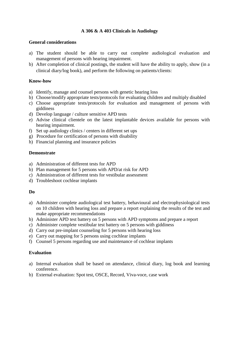## **A 306 & A 403 Clinicals in Audiology**

#### **General considerations**

- a) The student should be able to carry out complete audiological evaluation and management of persons with hearing impairment.
- b) After completion of clinical postings, the student will have the ability to apply, show (in a clinical diary/log book), and perform the following on patients/clients:

#### **Know-how**

- a) Identify, manage and counsel persons with genetic hearing loss
- b) Choose/modify appropriate tests/protocols for evaluating children and multiply disabled
- c) Choose appropriate tests/protocols for evaluation and management of persons with giddiness
- d) Develop language / culture sensitive APD tests
- e) Advise clinical clientele on the latest implantable devices available for persons with hearing impairment.
- f) Set up audiology clinics / centers in different set ups
- g) Procedure for certification of persons with disability
- h) Financial planning and insurance policies

#### **Demonstrate**

- a) Administration of different tests for APD
- b) Plan management for 5 persons with APD/at risk for APD
- c) Administration of different tests for vestibular assessment
- d) Troubleshoot cochlear implants

#### **Do**

- a) Administer complete audiological test battery, behavioural and electrophysiological tests on 10 children with hearing loss and prepare a report explaining the results of the test and make appropriate recommendations
- b) Administer APD test battery on 5 persons with APD symptoms and prepare a report
- c) Administer complete vestibular test battery on 5 persons with giddiness
- d) Carry out pre-implant counseling for 5 persons with hearing loss
- e) Carry out mapping for 5 persons using cochlear implants
- f) Counsel 5 persons regarding use and maintenance of cochlear implants

#### **Evaluation**

- a) Internal evaluation shall be based on attendance, clinical diary, log book and learning conference.
- b) External evaluation: Spot test, OSCE, Record, Viva-voce, case work